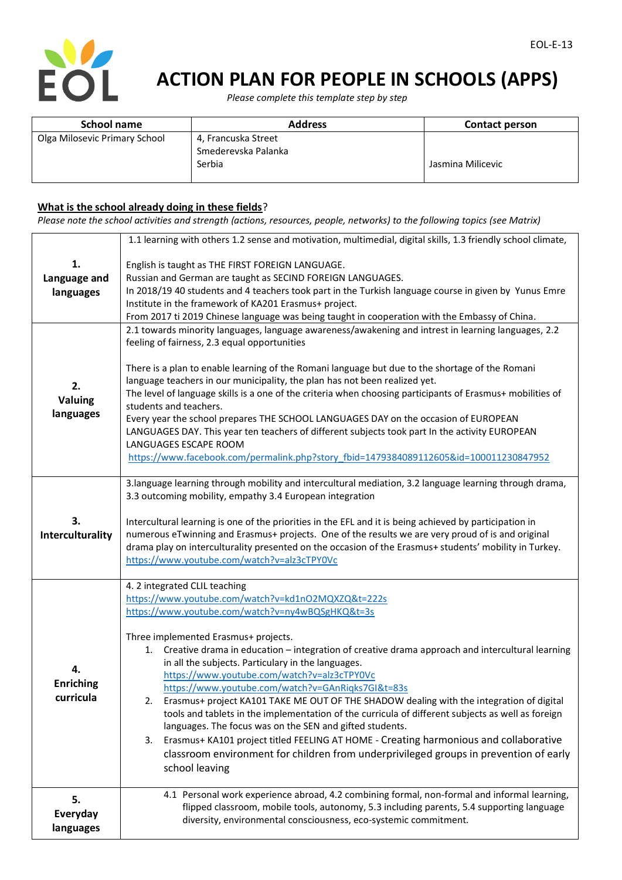

 *Please complete this template step by step*

| School name                   | <b>Address</b>      | <b>Contact person</b> |
|-------------------------------|---------------------|-----------------------|
| Olga Milosevic Primary School | 4, Francuska Street |                       |
|                               | Smederevska Palanka |                       |
|                               | Serbia              | Jasmina Milicevic     |

### **What is the school already doing in these fields**?

*Please note the school activities and strength (actions, resources, people, networks) to the following topics (see Matrix)*

|                                     | 1.1 learning with others 1.2 sense and motivation, multimedial, digital skills, 1.3 friendly school climate,                                                                                                                                                                                                                                                                                                                                                                                                                                                                                                                                                                                                                                                                                                                                                                                                              |
|-------------------------------------|---------------------------------------------------------------------------------------------------------------------------------------------------------------------------------------------------------------------------------------------------------------------------------------------------------------------------------------------------------------------------------------------------------------------------------------------------------------------------------------------------------------------------------------------------------------------------------------------------------------------------------------------------------------------------------------------------------------------------------------------------------------------------------------------------------------------------------------------------------------------------------------------------------------------------|
| 1.<br>Language and<br>languages     | English is taught as THE FIRST FOREIGN LANGUAGE.<br>Russian and German are taught as SECIND FOREIGN LANGUAGES.<br>In 2018/19 40 students and 4 teachers took part in the Turkish language course in given by Yunus Emre<br>Institute in the framework of KA201 Erasmus+ project.<br>From 2017 ti 2019 Chinese language was being taught in cooperation with the Embassy of China.<br>2.1 towards minority languages, language awareness/awakening and intrest in learning languages, 2.2                                                                                                                                                                                                                                                                                                                                                                                                                                  |
| 2.<br>Valuing<br>languages          | feeling of fairness, 2.3 equal opportunities<br>There is a plan to enable learning of the Romani language but due to the shortage of the Romani<br>language teachers in our municipality, the plan has not been realized yet.<br>The level of language skills is a one of the criteria when choosing participants of Erasmus+ mobilities of<br>students and teachers.<br>Every year the school prepares THE SCHOOL LANGUAGES DAY on the occasion of EUROPEAN<br>LANGUAGES DAY. This year ten teachers of different subjects took part In the activity EUROPEAN<br>LANGUAGES ESCAPE ROOM<br>https://www.facebook.com/permalink.php?story fbid=1479384089112605&id=100011230847952                                                                                                                                                                                                                                          |
| 3.<br>Interculturality              | 3.language learning through mobility and intercultural mediation, 3.2 language learning through drama,<br>3.3 outcoming mobility, empathy 3.4 European integration<br>Intercultural learning is one of the priorities in the EFL and it is being achieved by participation in<br>numerous eTwinning and Erasmus+ projects. One of the results we are very proud of is and original<br>drama play on interculturality presented on the occasion of the Erasmus+ students' mobility in Turkey.<br>https://www.youtube.com/watch?v=alz3cTPY0Vc                                                                                                                                                                                                                                                                                                                                                                               |
| 4.<br><b>Enriching</b><br>curricula | 4. 2 integrated CLIL teaching<br>https://www.youtube.com/watch?v=kd1nO2MQXZQ&t=222s<br>https://www.youtube.com/watch?v=ny4wBQSgHKQ&t=3s<br>Three implemented Erasmus+ projects.<br>1. Creative drama in education - integration of creative drama approach and intercultural learning<br>in all the subjects. Particulary in the languages.<br>https://www.youtube.com/watch?v=alz3cTPY0Vc<br>https://www.youtube.com/watch?v=GAnRigks7GI&t=83s<br>2. Erasmus+ project KA101 TAKE ME OUT OF THE SHADOW dealing with the integration of digital<br>tools and tablets in the implementation of the curricula of different subjects as well as foreign<br>languages. The focus was on the SEN and gifted students.<br>Erasmus+ KA101 project titled FEELING AT HOME - Creating harmonious and collaborative<br>3.<br>classroom environment for children from underprivileged groups in prevention of early<br>school leaving |
| 5.<br>Everyday<br>languages         | 4.1 Personal work experience abroad, 4.2 combining formal, non-formal and informal learning,<br>flipped classroom, mobile tools, autonomy, 5.3 including parents, 5.4 supporting language<br>diversity, environmental consciousness, eco-systemic commitment.                                                                                                                                                                                                                                                                                                                                                                                                                                                                                                                                                                                                                                                             |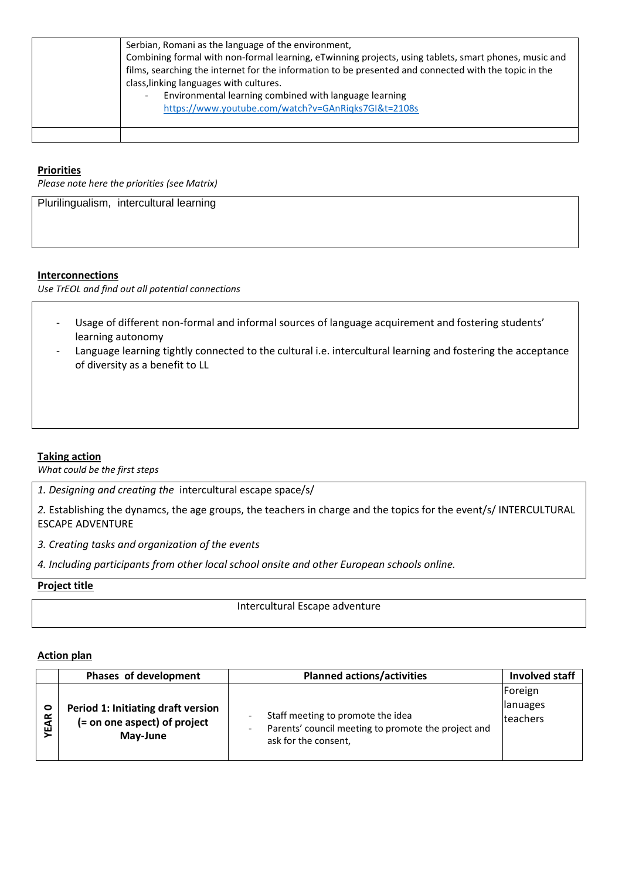| Serbian, Romani as the language of the environment.<br>Combining formal with non-formal learning, eTwinning projects, using tablets, smart phones, music and<br>films, searching the internet for the information to be presented and connected with the topic in the<br>class, linking languages with cultures.<br>Environmental learning combined with language learning<br>$\overline{\phantom{a}}$<br>https://www.youtube.com/watch?v=GAnRigks7GI&t=2108s |
|---------------------------------------------------------------------------------------------------------------------------------------------------------------------------------------------------------------------------------------------------------------------------------------------------------------------------------------------------------------------------------------------------------------------------------------------------------------|
|                                                                                                                                                                                                                                                                                                                                                                                                                                                               |

# **Priorities**

*Please note here the priorities (see Matrix)*

Plurilingualism, intercultural learning

### **Interconnections**

*Use TrEOL and find out all potential connections*

- Usage of different non-formal and informal sources of language acquirement and fostering students' learning autonomy
- Language learning tightly connected to the cultural i.e. intercultural learning and fostering the acceptance of diversity as a benefit to LL

### **Taking action**

*What could be the first steps*

*1. Designing and creating the* intercultural escape space/s/

*2.* Establishing the dynamcs, the age groups, the teachers in charge and the topics for the event/s/ INTERCULTURAL ESCAPE ADVENTURE

*3. Creating tasks and organization of the events*

*4. Including participants from other local school onsite and other European schools online.* 

#### **Project title**

Intercultural Escape adventure

### **Action plan**

|                | Phases of development                                                          | <b>Planned actions/activities</b>                                                                                                            | Involved staff                         |
|----------------|--------------------------------------------------------------------------------|----------------------------------------------------------------------------------------------------------------------------------------------|----------------------------------------|
| $\circ$<br>EAR | Period 1: Initiating draft version<br>(= on one aspect) of project<br>May-June | Staff meeting to promote the idea<br>Parents' council meeting to promote the project and<br>$\overline{\phantom{a}}$<br>ask for the consent, | Foreign<br><b>lanuages</b><br>teachers |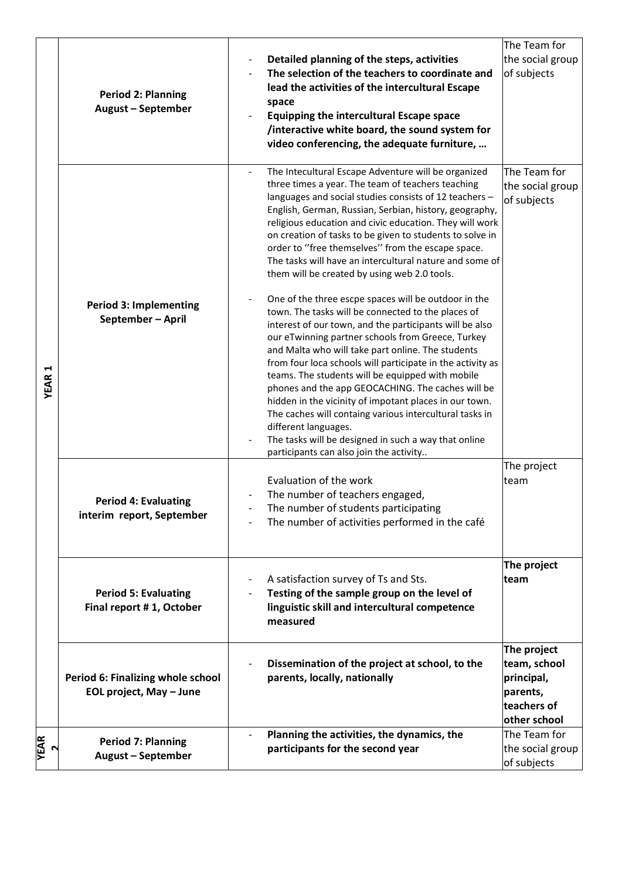|              |                                                        |                                                                                                                                                                                                                                                                                                                                                                                                                                                                                                                                                                                                                                                                                                                                                                                                                                                                                                                          | The Team for                                    |
|--------------|--------------------------------------------------------|--------------------------------------------------------------------------------------------------------------------------------------------------------------------------------------------------------------------------------------------------------------------------------------------------------------------------------------------------------------------------------------------------------------------------------------------------------------------------------------------------------------------------------------------------------------------------------------------------------------------------------------------------------------------------------------------------------------------------------------------------------------------------------------------------------------------------------------------------------------------------------------------------------------------------|-------------------------------------------------|
|              |                                                        | Detailed planning of the steps, activities<br>The selection of the teachers to coordinate and                                                                                                                                                                                                                                                                                                                                                                                                                                                                                                                                                                                                                                                                                                                                                                                                                            | the social group<br>of subjects                 |
|              | <b>Period 2: Planning</b>                              | lead the activities of the intercultural Escape                                                                                                                                                                                                                                                                                                                                                                                                                                                                                                                                                                                                                                                                                                                                                                                                                                                                          |                                                 |
|              | <b>August - September</b>                              | space                                                                                                                                                                                                                                                                                                                                                                                                                                                                                                                                                                                                                                                                                                                                                                                                                                                                                                                    |                                                 |
|              |                                                        | <b>Equipping the intercultural Escape space</b>                                                                                                                                                                                                                                                                                                                                                                                                                                                                                                                                                                                                                                                                                                                                                                                                                                                                          |                                                 |
|              |                                                        | /interactive white board, the sound system for<br>video conferencing, the adequate furniture,                                                                                                                                                                                                                                                                                                                                                                                                                                                                                                                                                                                                                                                                                                                                                                                                                            |                                                 |
|              |                                                        |                                                                                                                                                                                                                                                                                                                                                                                                                                                                                                                                                                                                                                                                                                                                                                                                                                                                                                                          |                                                 |
| <b>YEAR1</b> | <b>Period 3: Implementing</b><br>September - April     | The Intecultural Escape Adventure will be organized<br>three times a year. The team of teachers teaching<br>languages and social studies consists of 12 teachers -<br>English, German, Russian, Serbian, history, geography,<br>religious education and civic education. They will work<br>on creation of tasks to be given to students to solve in<br>order to "free themselves" from the escape space.<br>The tasks will have an intercultural nature and some of<br>them will be created by using web 2.0 tools.<br>One of the three escpe spaces will be outdoor in the<br>town. The tasks will be connected to the places of<br>interest of our town, and the participants will be also<br>our eTwinning partner schools from Greece, Turkey<br>and Malta who will take part online. The students<br>from four loca schools will participate in the activity as<br>teams. The students will be equipped with mobile | The Team for<br>the social group<br>of subjects |
|              |                                                        | phones and the app GEOCACHING. The caches will be<br>hidden in the vicinity of impotant places in our town.<br>The caches will containg various intercultural tasks in<br>different languages.<br>The tasks will be designed in such a way that online<br>participants can also join the activity                                                                                                                                                                                                                                                                                                                                                                                                                                                                                                                                                                                                                        |                                                 |
|              |                                                        |                                                                                                                                                                                                                                                                                                                                                                                                                                                                                                                                                                                                                                                                                                                                                                                                                                                                                                                          | The project                                     |
|              |                                                        | Evaluation of the work                                                                                                                                                                                                                                                                                                                                                                                                                                                                                                                                                                                                                                                                                                                                                                                                                                                                                                   | team                                            |
|              | <b>Period 4: Evaluating</b>                            | The number of teachers engaged,<br>The number of students participating                                                                                                                                                                                                                                                                                                                                                                                                                                                                                                                                                                                                                                                                                                                                                                                                                                                  |                                                 |
|              | interim report, September                              | The number of activities performed in the café                                                                                                                                                                                                                                                                                                                                                                                                                                                                                                                                                                                                                                                                                                                                                                                                                                                                           |                                                 |
|              |                                                        |                                                                                                                                                                                                                                                                                                                                                                                                                                                                                                                                                                                                                                                                                                                                                                                                                                                                                                                          |                                                 |
|              |                                                        |                                                                                                                                                                                                                                                                                                                                                                                                                                                                                                                                                                                                                                                                                                                                                                                                                                                                                                                          | The project                                     |
|              |                                                        | A satisfaction survey of Ts and Sts.                                                                                                                                                                                                                                                                                                                                                                                                                                                                                                                                                                                                                                                                                                                                                                                                                                                                                     | team                                            |
|              | <b>Period 5: Evaluating</b>                            | Testing of the sample group on the level of<br>linguistic skill and intercultural competence                                                                                                                                                                                                                                                                                                                                                                                                                                                                                                                                                                                                                                                                                                                                                                                                                             |                                                 |
|              | Final report #1, October                               | measured                                                                                                                                                                                                                                                                                                                                                                                                                                                                                                                                                                                                                                                                                                                                                                                                                                                                                                                 |                                                 |
|              |                                                        |                                                                                                                                                                                                                                                                                                                                                                                                                                                                                                                                                                                                                                                                                                                                                                                                                                                                                                                          |                                                 |
|              |                                                        |                                                                                                                                                                                                                                                                                                                                                                                                                                                                                                                                                                                                                                                                                                                                                                                                                                                                                                                          | The project                                     |
|              |                                                        | Dissemination of the project at school, to the                                                                                                                                                                                                                                                                                                                                                                                                                                                                                                                                                                                                                                                                                                                                                                                                                                                                           | team, school                                    |
|              | Period 6: Finalizing whole school                      | parents, locally, nationally                                                                                                                                                                                                                                                                                                                                                                                                                                                                                                                                                                                                                                                                                                                                                                                                                                                                                             | principal,                                      |
|              | EOL project, May - June                                |                                                                                                                                                                                                                                                                                                                                                                                                                                                                                                                                                                                                                                                                                                                                                                                                                                                                                                                          | parents,<br>teachers of                         |
|              |                                                        |                                                                                                                                                                                                                                                                                                                                                                                                                                                                                                                                                                                                                                                                                                                                                                                                                                                                                                                          | other school                                    |
|              |                                                        | Planning the activities, the dynamics, the                                                                                                                                                                                                                                                                                                                                                                                                                                                                                                                                                                                                                                                                                                                                                                                                                                                                               | The Team for                                    |
| <b>YEAR</b>  | <b>Period 7: Planning</b><br><b>August - September</b> | participants for the second year                                                                                                                                                                                                                                                                                                                                                                                                                                                                                                                                                                                                                                                                                                                                                                                                                                                                                         | the social group                                |
|              |                                                        |                                                                                                                                                                                                                                                                                                                                                                                                                                                                                                                                                                                                                                                                                                                                                                                                                                                                                                                          | of subjects                                     |